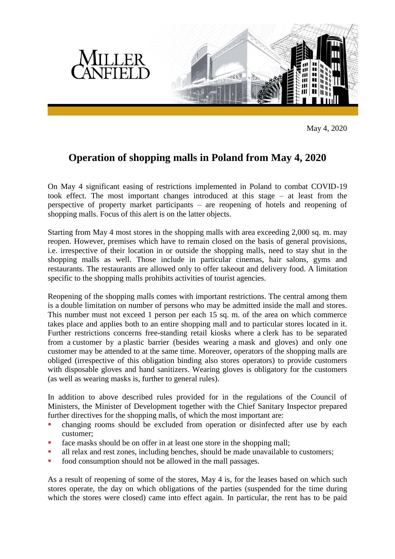

May 4, 2020

## **Operation of shopping malls in Poland from May 4, 2020**

On May 4 significant easing of restrictions implemented in Poland to combat COVID-19 took effect. The most important changes introduced at this stage – at least from the perspective of property market participants – are reopening of hotels and reopening of shopping malls. Focus of this alert is on the latter objects.

Starting from May 4 most stores in the shopping malls with area exceeding 2,000 sq. m. may reopen. However, premises which have to remain closed on the basis of general provisions, i.e. irrespective of their location in or outside the shopping malls, need to stay shut in the shopping malls as well. Those include in particular cinemas, hair salons, gyms and restaurants. The restaurants are allowed only to offer takeout and delivery food. A limitation specific to the shopping malls prohibits activities of tourist agencies.

Reopening of the shopping malls comes with important restrictions. The central among them is a double limitation on number of persons who may be admitted inside the mall and stores. This number must not exceed 1 person per each 15 sq. m. of the area on which commerce takes place and applies both to an entire shopping mall and to particular stores located in it. Further restrictions concerns free-standing retail kiosks where a clerk has to be separated from a customer by a plastic barrier (besides wearing a mask and gloves) and only one customer may be attended to at the same time. Moreover, operators of the shopping malls are obliged (irrespective of this obligation binding also stores operators) to provide customers with disposable gloves and hand sanitizers. Wearing gloves is obligatory for the customers (as well as wearing masks is, further to general rules).

In addition to above described rules provided for in the regulations of the Council of Ministers, the Minister of Development together with the Chief Sanitary Inspector prepared further directives for the shopping malls, of which the most important are:

- changing rooms should be excluded from operation or disinfected after use by each customer;
- face masks should be on offer in at least one store in the shopping mall;
- all relax and rest zones, including benches, should be made unavailable to customers;
- **food consumption should not be allowed in the mall passages.**

As a result of reopening of some of the stores, May 4 is, for the leases based on which such stores operate, the day on which obligations of the parties (suspended for the time during which the stores were closed) came into effect again. In particular, the rent has to be paid